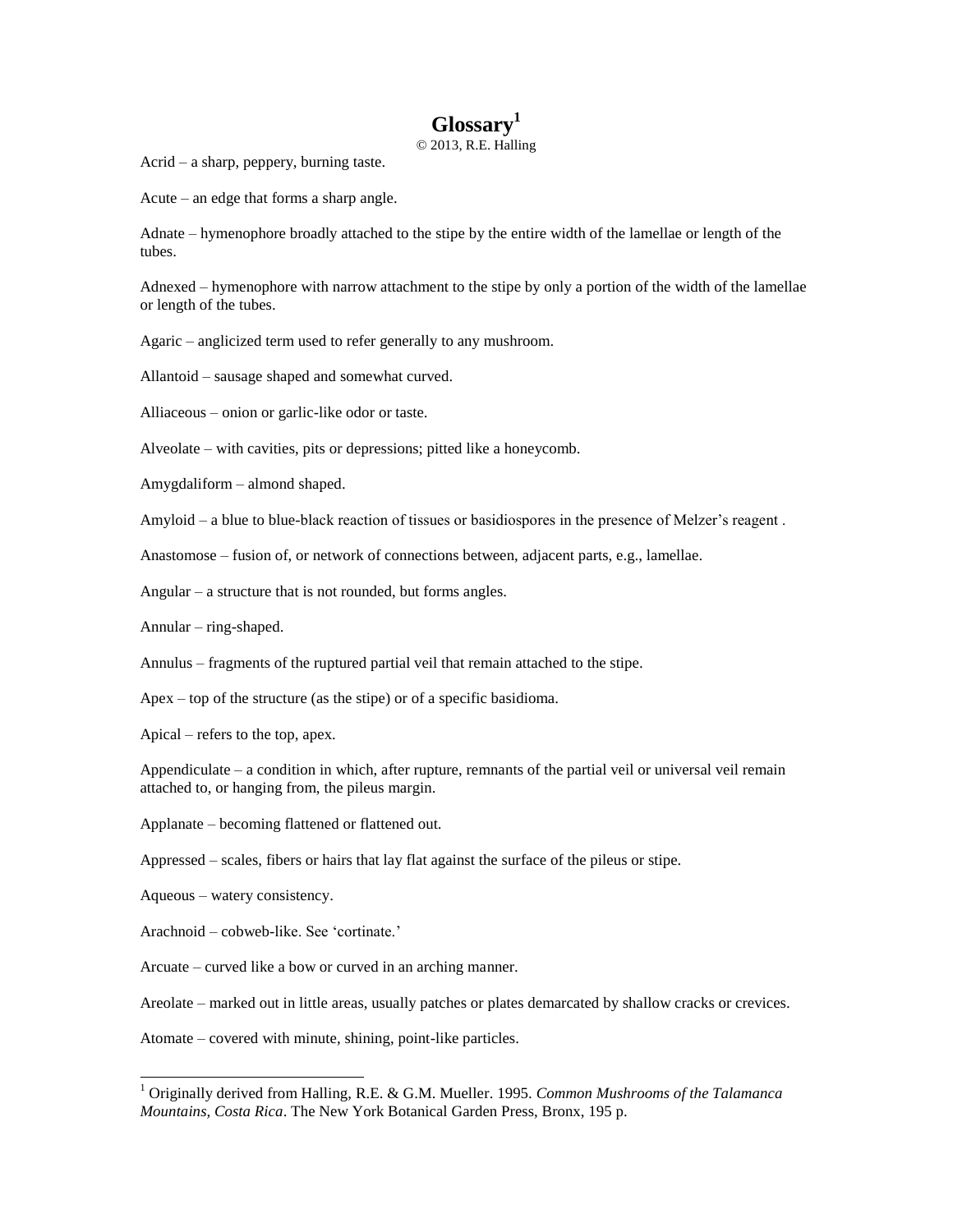## **Glossary<sup>1</sup>**

© 2013, R.E. Halling

Acrid – a sharp, peppery, burning taste.

Acute – an edge that forms a sharp angle.

Adnate – hymenophore broadly attached to the stipe by the entire width of the lamellae or length of the tubes.

Adnexed – hymenophore with narrow attachment to the stipe by only a portion of the width of the lamellae or length of the tubes.

Agaric – anglicized term used to refer generally to any mushroom.

Allantoid – sausage shaped and somewhat curved.

Alliaceous – onion or garlic-like odor or taste.

Alveolate – with cavities, pits or depressions; pitted like a honeycomb.

Amygdaliform – almond shaped.

Amyloid – a blue to blue-black reaction of tissues or basidiospores in the presence of Melzer's reagent .

Anastomose – fusion of, or network of connections between, adjacent parts, e.g., lamellae.

Angular – a structure that is not rounded, but forms angles.

Annular – ring-shaped.

Annulus – fragments of the ruptured partial veil that remain attached to the stipe.

Apex – top of the structure (as the stipe) or of a specific basidioma.

Apical – refers to the top, apex.

Appendiculate – a condition in which, after rupture, remnants of the partial veil or universal veil remain attached to, or hanging from, the pileus margin.

Applanate – becoming flattened or flattened out.

Appressed – scales, fibers or hairs that lay flat against the surface of the pileus or stipe.

Aqueous – watery consistency.

 $\overline{a}$ 

Arachnoid – cobweb-like. See 'cortinate.'

Arcuate – curved like a bow or curved in an arching manner.

Areolate – marked out in little areas, usually patches or plates demarcated by shallow cracks or crevices.

Atomate – covered with minute, shining, point-like particles.

<sup>1</sup> Originally derived from Halling, R.E. & G.M. Mueller. 1995. *Common Mushrooms of the Talamanca Mountains, Costa Rica*. The New York Botanical Garden Press, Bronx, 195 p.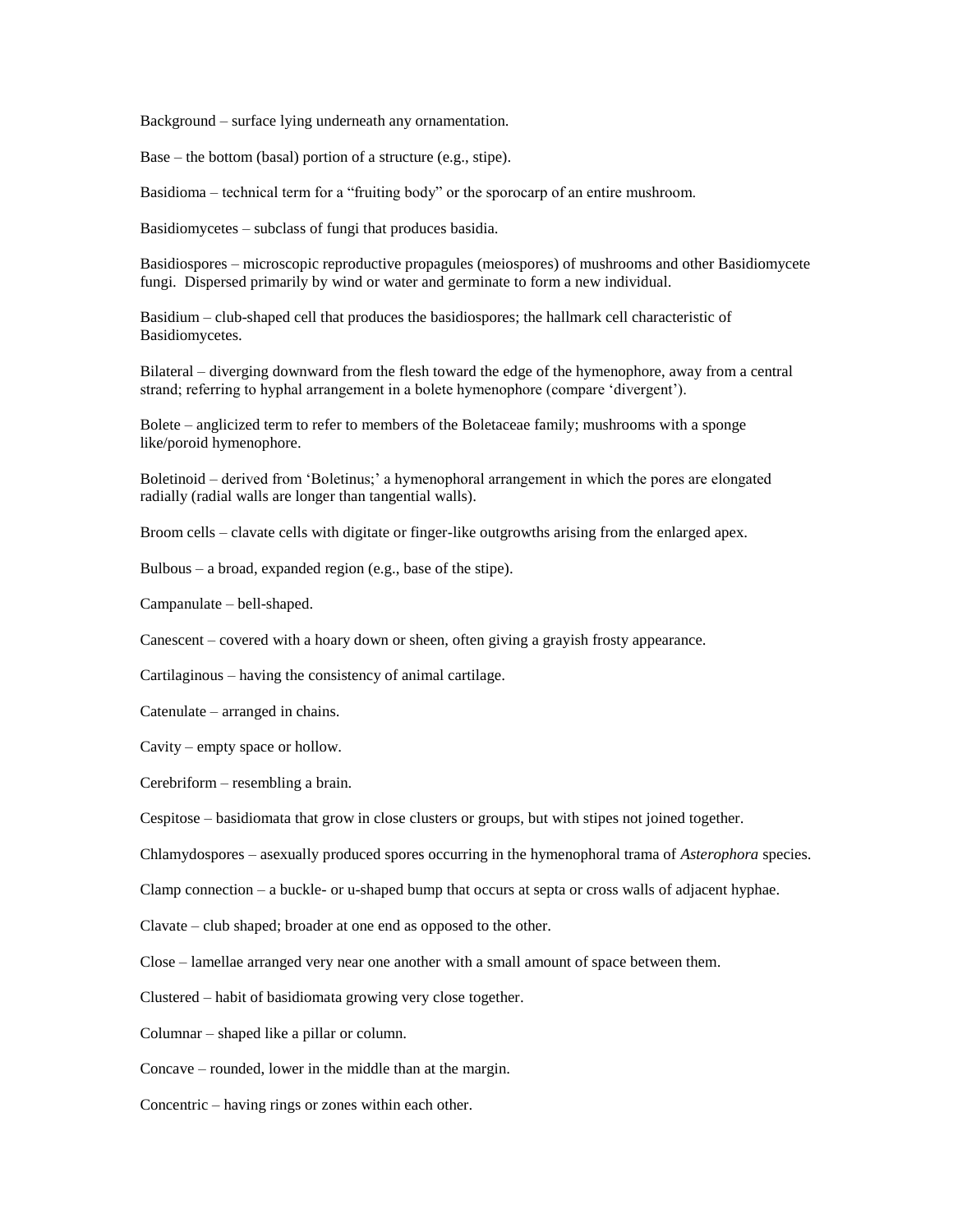Background – surface lying underneath any ornamentation.

Base – the bottom (basal) portion of a structure (e.g., stipe).

Basidioma – technical term for a "fruiting body" or the sporocarp of an entire mushroom.

Basidiomycetes – subclass of fungi that produces basidia.

Basidiospores – microscopic reproductive propagules (meiospores) of mushrooms and other Basidiomycete fungi. Dispersed primarily by wind or water and germinate to form a new individual.

Basidium – club-shaped cell that produces the basidiospores; the hallmark cell characteristic of Basidiomycetes.

Bilateral – diverging downward from the flesh toward the edge of the hymenophore, away from a central strand; referring to hyphal arrangement in a bolete hymenophore (compare 'divergent').

Bolete – anglicized term to refer to members of the Boletaceae family; mushrooms with a sponge like/poroid hymenophore.

Boletinoid – derived from 'Boletinus;' a hymenophoral arrangement in which the pores are elongated radially (radial walls are longer than tangential walls).

Broom cells – clavate cells with digitate or finger-like outgrowths arising from the enlarged apex.

Bulbous – a broad, expanded region (e.g., base of the stipe).

Campanulate – bell-shaped.

Canescent – covered with a hoary down or sheen, often giving a grayish frosty appearance.

Cartilaginous – having the consistency of animal cartilage.

Catenulate – arranged in chains.

Cavity – empty space or hollow.

Cerebriform – resembling a brain.

Cespitose – basidiomata that grow in close clusters or groups, but with stipes not joined together.

Chlamydospores – asexually produced spores occurring in the hymenophoral trama of *Asterophora* species.

Clamp connection – a buckle- or u-shaped bump that occurs at septa or cross walls of adjacent hyphae.

Clavate – club shaped; broader at one end as opposed to the other.

Close – lamellae arranged very near one another with a small amount of space between them.

Clustered – habit of basidiomata growing very close together.

Columnar – shaped like a pillar or column.

Concave – rounded, lower in the middle than at the margin.

Concentric – having rings or zones within each other.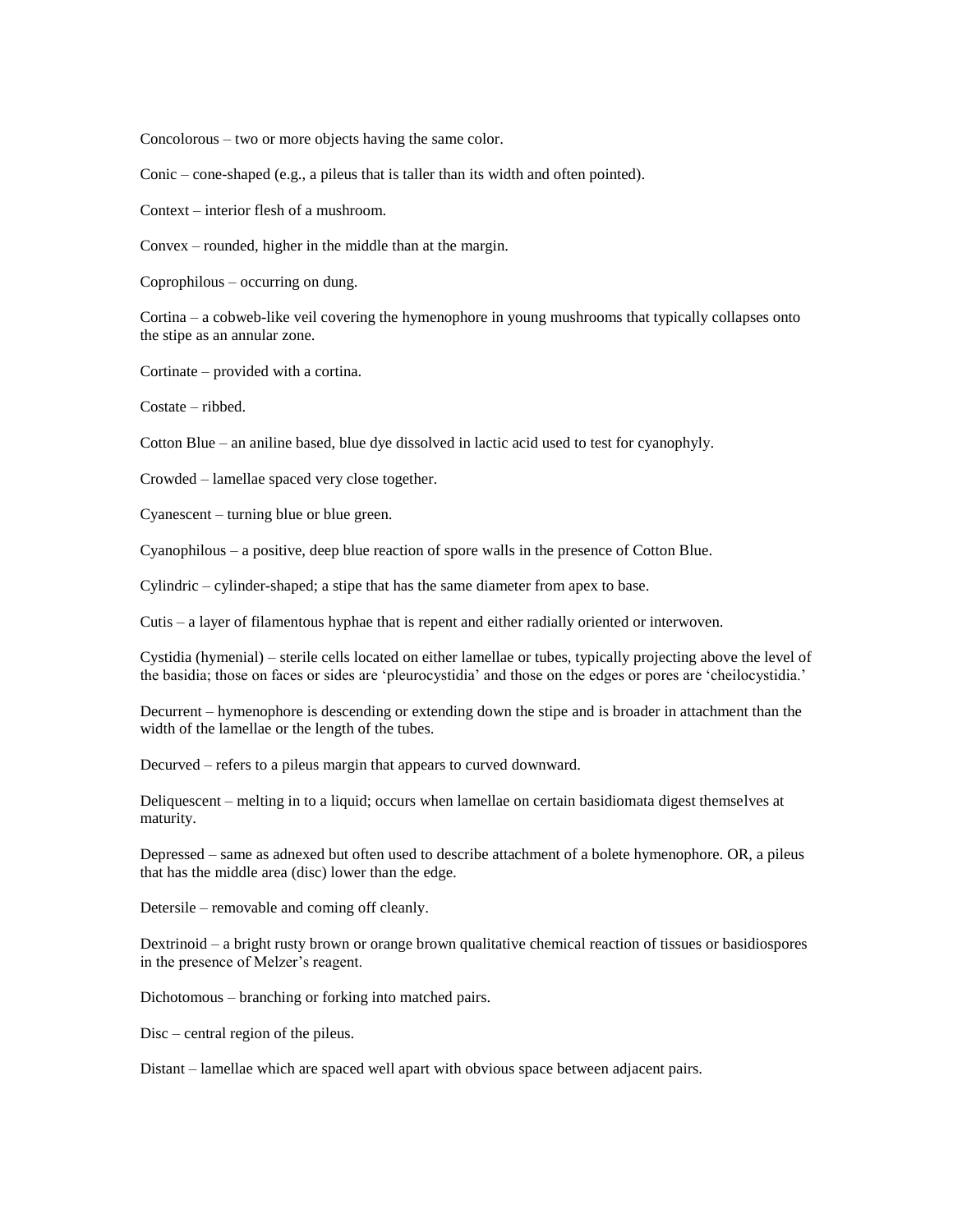Concolorous – two or more objects having the same color.

Conic – cone-shaped (e.g., a pileus that is taller than its width and often pointed).

Context – interior flesh of a mushroom.

Convex – rounded, higher in the middle than at the margin.

Coprophilous – occurring on dung.

Cortina – a cobweb-like veil covering the hymenophore in young mushrooms that typically collapses onto the stipe as an annular zone.

Cortinate – provided with a cortina.

Costate – ribbed.

Cotton Blue – an aniline based, blue dye dissolved in lactic acid used to test for cyanophyly.

Crowded – lamellae spaced very close together.

Cyanescent – turning blue or blue green.

Cyanophilous – a positive, deep blue reaction of spore walls in the presence of Cotton Blue.

Cylindric – cylinder-shaped; a stipe that has the same diameter from apex to base.

Cutis – a layer of filamentous hyphae that is repent and either radially oriented or interwoven.

Cystidia (hymenial) – sterile cells located on either lamellae or tubes, typically projecting above the level of the basidia; those on faces or sides are 'pleurocystidia' and those on the edges or pores are 'cheilocystidia.'

Decurrent – hymenophore is descending or extending down the stipe and is broader in attachment than the width of the lamellae or the length of the tubes.

Decurved – refers to a pileus margin that appears to curved downward.

Deliquescent – melting in to a liquid; occurs when lamellae on certain basidiomata digest themselves at maturity.

Depressed – same as adnexed but often used to describe attachment of a bolete hymenophore. OR, a pileus that has the middle area (disc) lower than the edge.

Detersile – removable and coming off cleanly.

Dextrinoid – a bright rusty brown or orange brown qualitative chemical reaction of tissues or basidiospores in the presence of Melzer's reagent.

Dichotomous – branching or forking into matched pairs.

Disc – central region of the pileus.

Distant – lamellae which are spaced well apart with obvious space between adjacent pairs.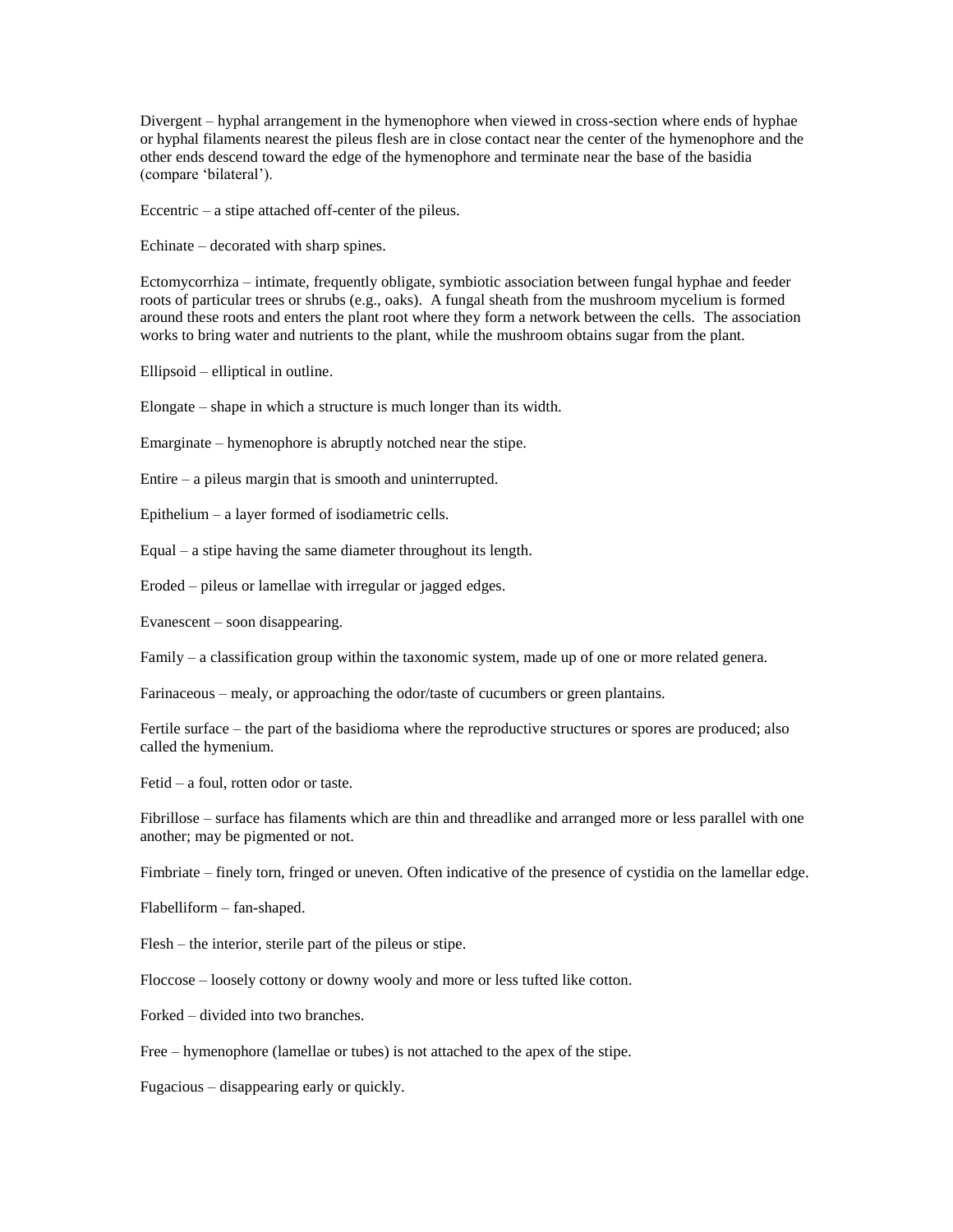Divergent – hyphal arrangement in the hymenophore when viewed in cross-section where ends of hyphae or hyphal filaments nearest the pileus flesh are in close contact near the center of the hymenophore and the other ends descend toward the edge of the hymenophore and terminate near the base of the basidia (compare 'bilateral').

Eccentric – a stipe attached off-center of the pileus.

Echinate – decorated with sharp spines.

Ectomycorrhiza – intimate, frequently obligate, symbiotic association between fungal hyphae and feeder roots of particular trees or shrubs (e.g., oaks). A fungal sheath from the mushroom mycelium is formed around these roots and enters the plant root where they form a network between the cells. The association works to bring water and nutrients to the plant, while the mushroom obtains sugar from the plant.

Ellipsoid – elliptical in outline.

Elongate – shape in which a structure is much longer than its width.

Emarginate – hymenophore is abruptly notched near the stipe.

Entire – a pileus margin that is smooth and uninterrupted.

Epithelium – a layer formed of isodiametric cells.

Equal – a stipe having the same diameter throughout its length.

Eroded – pileus or lamellae with irregular or jagged edges.

Evanescent – soon disappearing.

Family – a classification group within the taxonomic system, made up of one or more related genera.

Farinaceous – mealy, or approaching the odor/taste of cucumbers or green plantains.

Fertile surface – the part of the basidioma where the reproductive structures or spores are produced; also called the hymenium.

Fetid – a foul, rotten odor or taste.

Fibrillose – surface has filaments which are thin and threadlike and arranged more or less parallel with one another; may be pigmented or not.

Fimbriate – finely torn, fringed or uneven. Often indicative of the presence of cystidia on the lamellar edge.

Flabelliform – fan-shaped.

Flesh – the interior, sterile part of the pileus or stipe.

Floccose – loosely cottony or downy wooly and more or less tufted like cotton.

Forked – divided into two branches.

Free – hymenophore (lamellae or tubes) is not attached to the apex of the stipe.

Fugacious – disappearing early or quickly.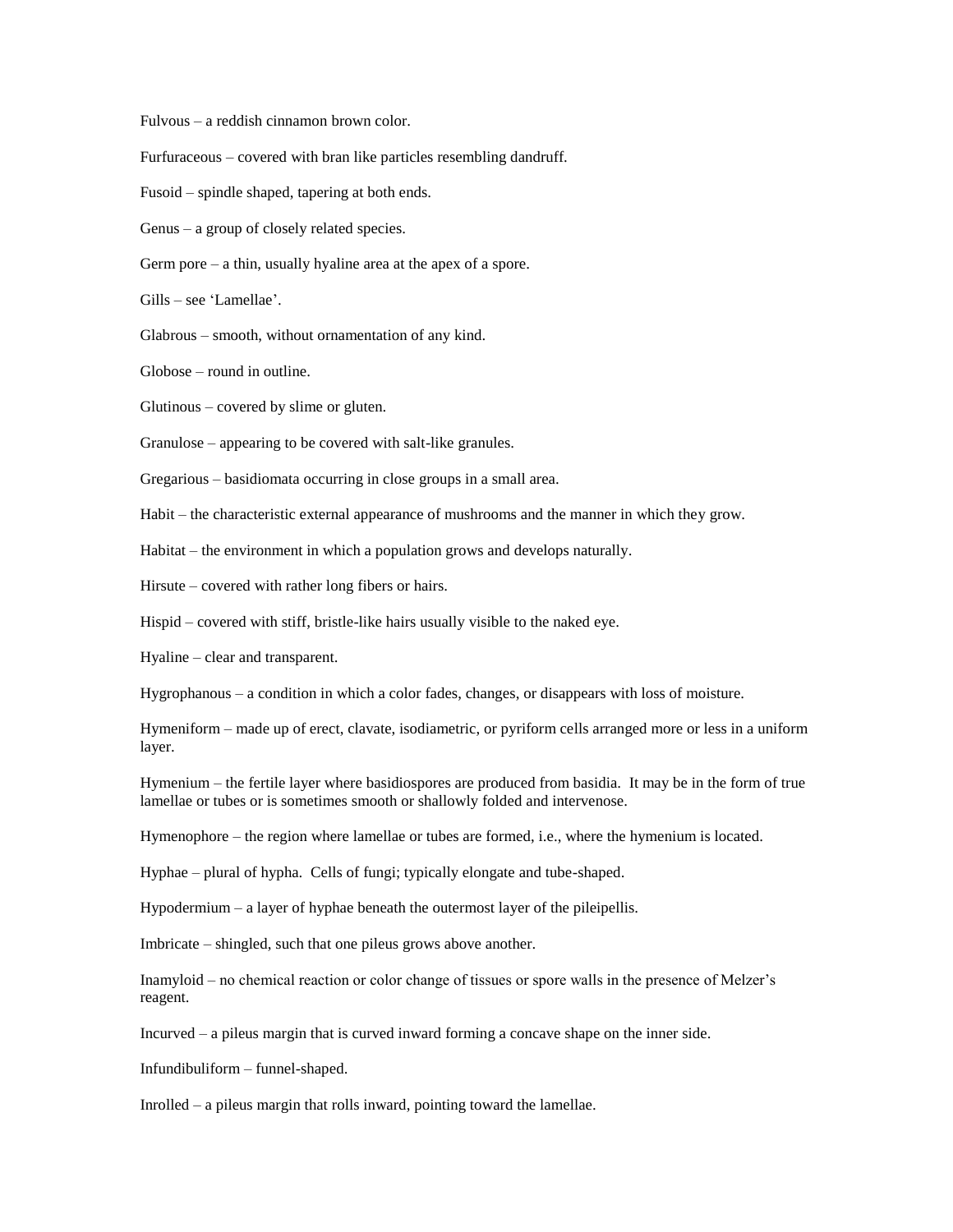Fulvous – a reddish cinnamon brown color.

Furfuraceous – covered with bran like particles resembling dandruff.

Fusoid – spindle shaped, tapering at both ends.

Genus – a group of closely related species.

Germ pore – a thin, usually hyaline area at the apex of a spore.

Gills – see 'Lamellae'.

Glabrous – smooth, without ornamentation of any kind.

Globose – round in outline.

Glutinous – covered by slime or gluten.

Granulose – appearing to be covered with salt-like granules.

Gregarious – basidiomata occurring in close groups in a small area.

Habit – the characteristic external appearance of mushrooms and the manner in which they grow.

Habitat – the environment in which a population grows and develops naturally.

Hirsute – covered with rather long fibers or hairs.

Hispid – covered with stiff, bristle-like hairs usually visible to the naked eye.

Hyaline – clear and transparent.

Hygrophanous – a condition in which a color fades, changes, or disappears with loss of moisture.

Hymeniform – made up of erect, clavate, isodiametric, or pyriform cells arranged more or less in a uniform layer.

Hymenium – the fertile layer where basidiospores are produced from basidia. It may be in the form of true lamellae or tubes or is sometimes smooth or shallowly folded and intervenose.

Hymenophore – the region where lamellae or tubes are formed, i.e., where the hymenium is located.

Hyphae – plural of hypha. Cells of fungi; typically elongate and tube-shaped.

Hypodermium – a layer of hyphae beneath the outermost layer of the pileipellis.

Imbricate – shingled, such that one pileus grows above another.

Inamyloid – no chemical reaction or color change of tissues or spore walls in the presence of Melzer's reagent.

Incurved – a pileus margin that is curved inward forming a concave shape on the inner side.

Infundibuliform – funnel-shaped.

Inrolled – a pileus margin that rolls inward, pointing toward the lamellae.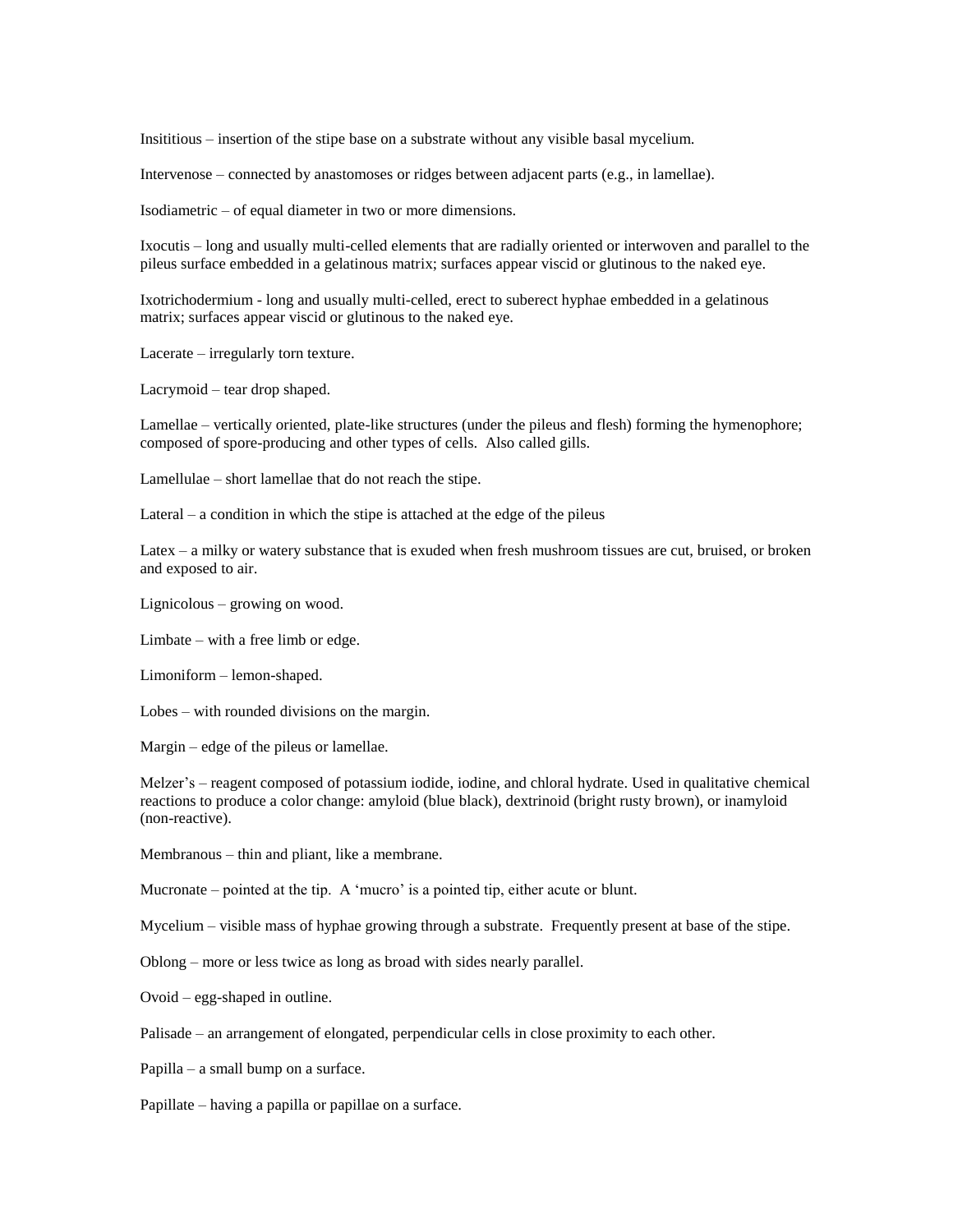Insititious – insertion of the stipe base on a substrate without any visible basal mycelium.

Intervenose – connected by anastomoses or ridges between adjacent parts (e.g., in lamellae).

Isodiametric – of equal diameter in two or more dimensions.

Ixocutis – long and usually multi-celled elements that are radially oriented or interwoven and parallel to the pileus surface embedded in a gelatinous matrix; surfaces appear viscid or glutinous to the naked eye.

Ixotrichodermium - long and usually multi-celled, erect to suberect hyphae embedded in a gelatinous matrix; surfaces appear viscid or glutinous to the naked eye.

Lacerate – irregularly torn texture.

Lacrymoid – tear drop shaped.

Lamellae – vertically oriented, plate-like structures (under the pileus and flesh) forming the hymenophore; composed of spore-producing and other types of cells. Also called gills.

Lamellulae – short lamellae that do not reach the stipe.

Lateral – a condition in which the stipe is attached at the edge of the pileus

Latex – a milky or watery substance that is exuded when fresh mushroom tissues are cut, bruised, or broken and exposed to air.

Lignicolous – growing on wood.

Limbate – with a free limb or edge.

Limoniform – lemon-shaped.

Lobes – with rounded divisions on the margin.

Margin – edge of the pileus or lamellae.

Melzer's – reagent composed of potassium iodide, iodine, and chloral hydrate. Used in qualitative chemical reactions to produce a color change: amyloid (blue black), dextrinoid (bright rusty brown), or inamyloid (non-reactive).

Membranous – thin and pliant, like a membrane.

Mucronate – pointed at the tip. A 'mucro' is a pointed tip, either acute or blunt.

Mycelium – visible mass of hyphae growing through a substrate. Frequently present at base of the stipe.

Oblong – more or less twice as long as broad with sides nearly parallel.

Ovoid – egg-shaped in outline.

Palisade – an arrangement of elongated, perpendicular cells in close proximity to each other.

Papilla – a small bump on a surface.

Papillate – having a papilla or papillae on a surface.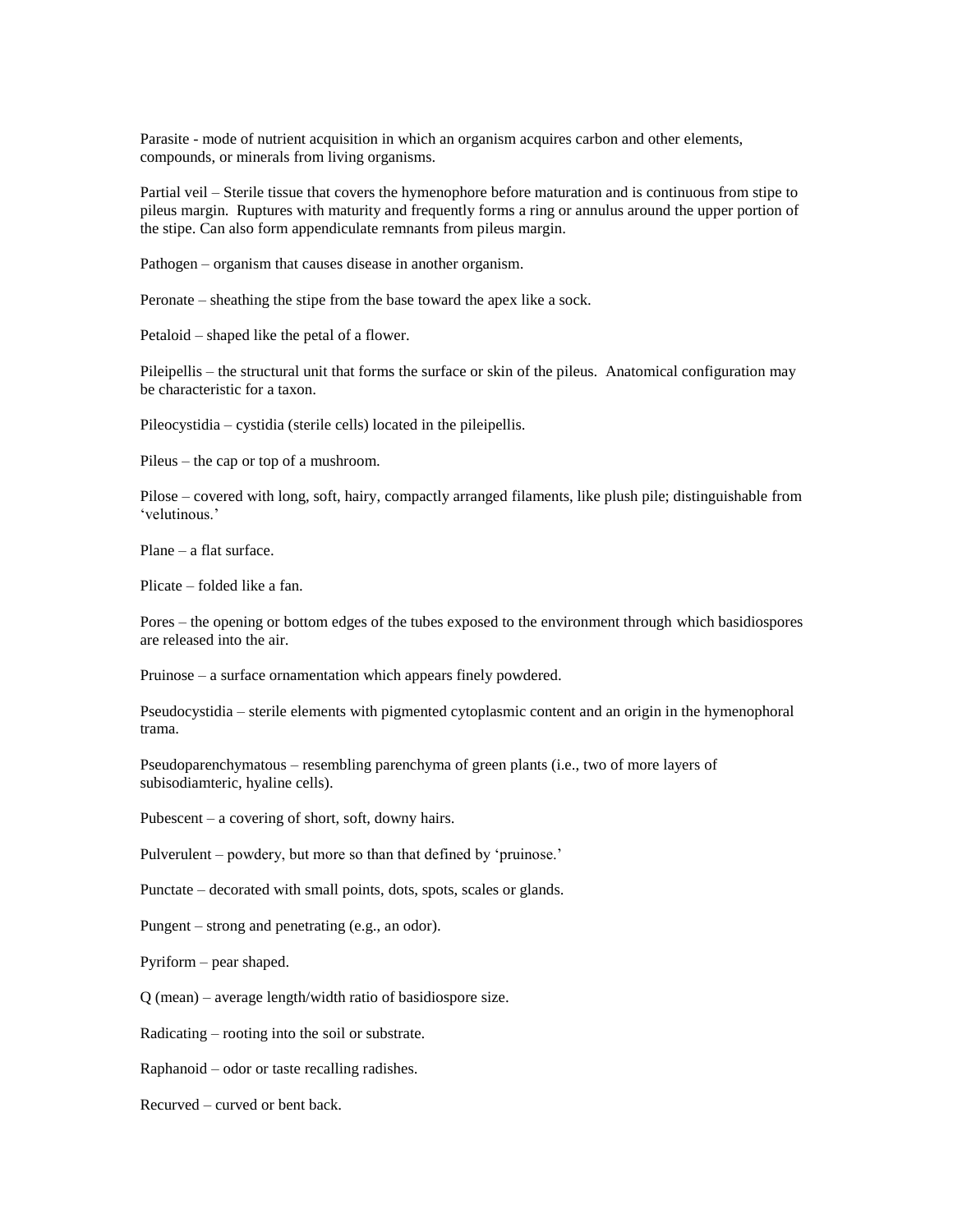Parasite - mode of nutrient acquisition in which an organism acquires carbon and other elements, compounds, or minerals from living organisms.

Partial veil – Sterile tissue that covers the hymenophore before maturation and is continuous from stipe to pileus margin. Ruptures with maturity and frequently forms a ring or annulus around the upper portion of the stipe. Can also form appendiculate remnants from pileus margin.

Pathogen – organism that causes disease in another organism.

Peronate – sheathing the stipe from the base toward the apex like a sock.

Petaloid – shaped like the petal of a flower.

Pileipellis – the structural unit that forms the surface or skin of the pileus. Anatomical configuration may be characteristic for a taxon.

Pileocystidia – cystidia (sterile cells) located in the pileipellis.

Pileus – the cap or top of a mushroom.

Pilose – covered with long, soft, hairy, compactly arranged filaments, like plush pile; distinguishable from 'velutinous.'

Plane – a flat surface.

Plicate – folded like a fan.

Pores – the opening or bottom edges of the tubes exposed to the environment through which basidiospores are released into the air.

Pruinose – a surface ornamentation which appears finely powdered.

Pseudocystidia – sterile elements with pigmented cytoplasmic content and an origin in the hymenophoral trama.

Pseudoparenchymatous – resembling parenchyma of green plants (i.e., two of more layers of subisodiamteric, hyaline cells).

Pubescent – a covering of short, soft, downy hairs.

Pulverulent – powdery, but more so than that defined by 'pruinose.'

Punctate – decorated with small points, dots, spots, scales or glands.

Pungent – strong and penetrating (e.g., an odor).

Pyriform – pear shaped.

Q (mean) – average length/width ratio of basidiospore size.

Radicating – rooting into the soil or substrate.

Raphanoid – odor or taste recalling radishes.

Recurved – curved or bent back.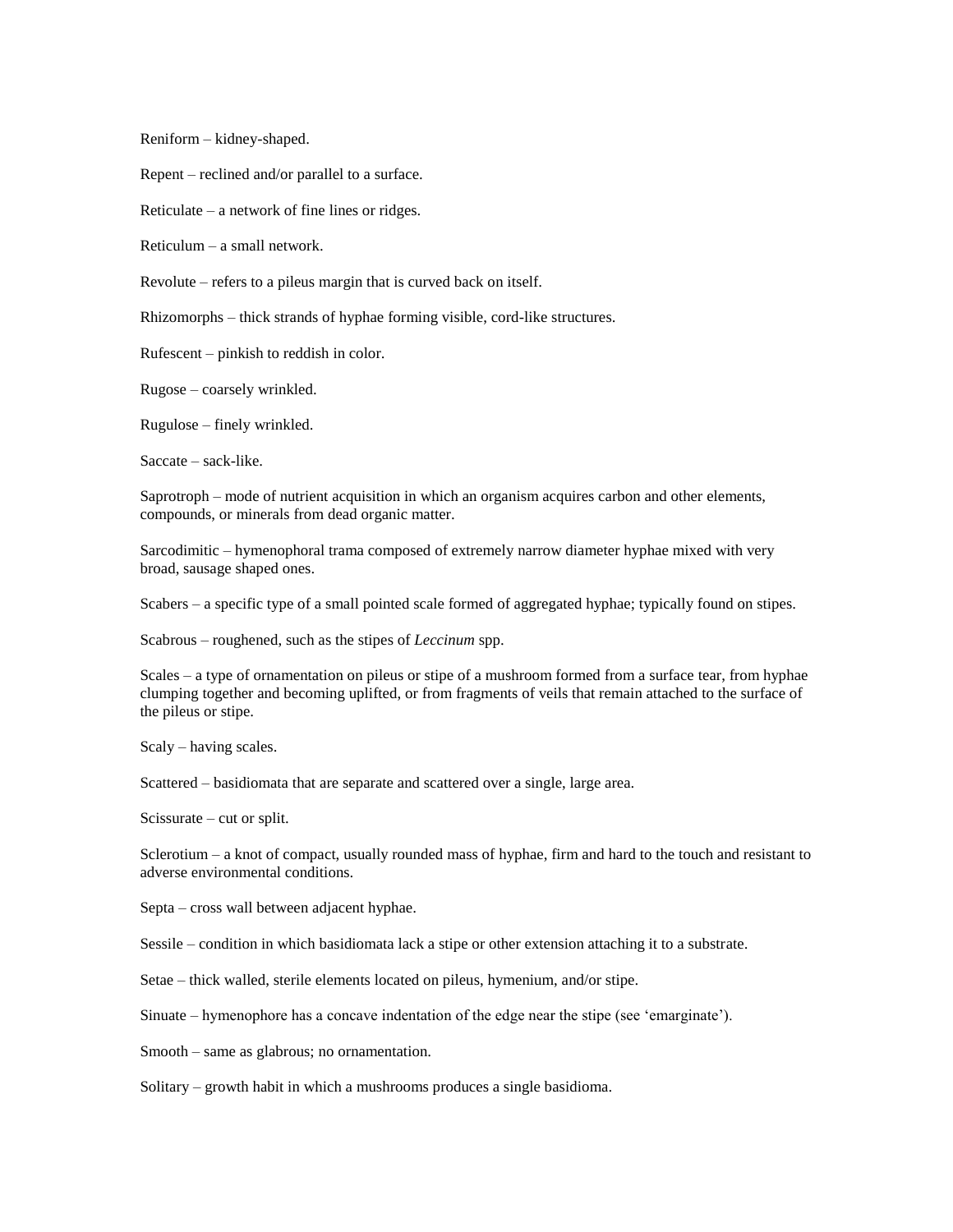Reniform – kidney-shaped.

Repent – reclined and/or parallel to a surface.

Reticulate – a network of fine lines or ridges.

Reticulum – a small network.

Revolute – refers to a pileus margin that is curved back on itself.

Rhizomorphs – thick strands of hyphae forming visible, cord-like structures.

Rufescent – pinkish to reddish in color.

Rugose – coarsely wrinkled.

Rugulose – finely wrinkled.

Saccate – sack-like.

Saprotroph – mode of nutrient acquisition in which an organism acquires carbon and other elements, compounds, or minerals from dead organic matter.

Sarcodimitic – hymenophoral trama composed of extremely narrow diameter hyphae mixed with very broad, sausage shaped ones.

Scabers – a specific type of a small pointed scale formed of aggregated hyphae; typically found on stipes.

Scabrous – roughened, such as the stipes of *Leccinum* spp.

Scales – a type of ornamentation on pileus or stipe of a mushroom formed from a surface tear, from hyphae clumping together and becoming uplifted, or from fragments of veils that remain attached to the surface of the pileus or stipe.

Scaly – having scales.

Scattered – basidiomata that are separate and scattered over a single, large area.

Scissurate – cut or split.

Sclerotium – a knot of compact, usually rounded mass of hyphae, firm and hard to the touch and resistant to adverse environmental conditions.

Septa – cross wall between adjacent hyphae.

Sessile – condition in which basidiomata lack a stipe or other extension attaching it to a substrate.

Setae – thick walled, sterile elements located on pileus, hymenium, and/or stipe.

Sinuate – hymenophore has a concave indentation of the edge near the stipe (see 'emarginate').

Smooth – same as glabrous; no ornamentation.

Solitary – growth habit in which a mushrooms produces a single basidioma.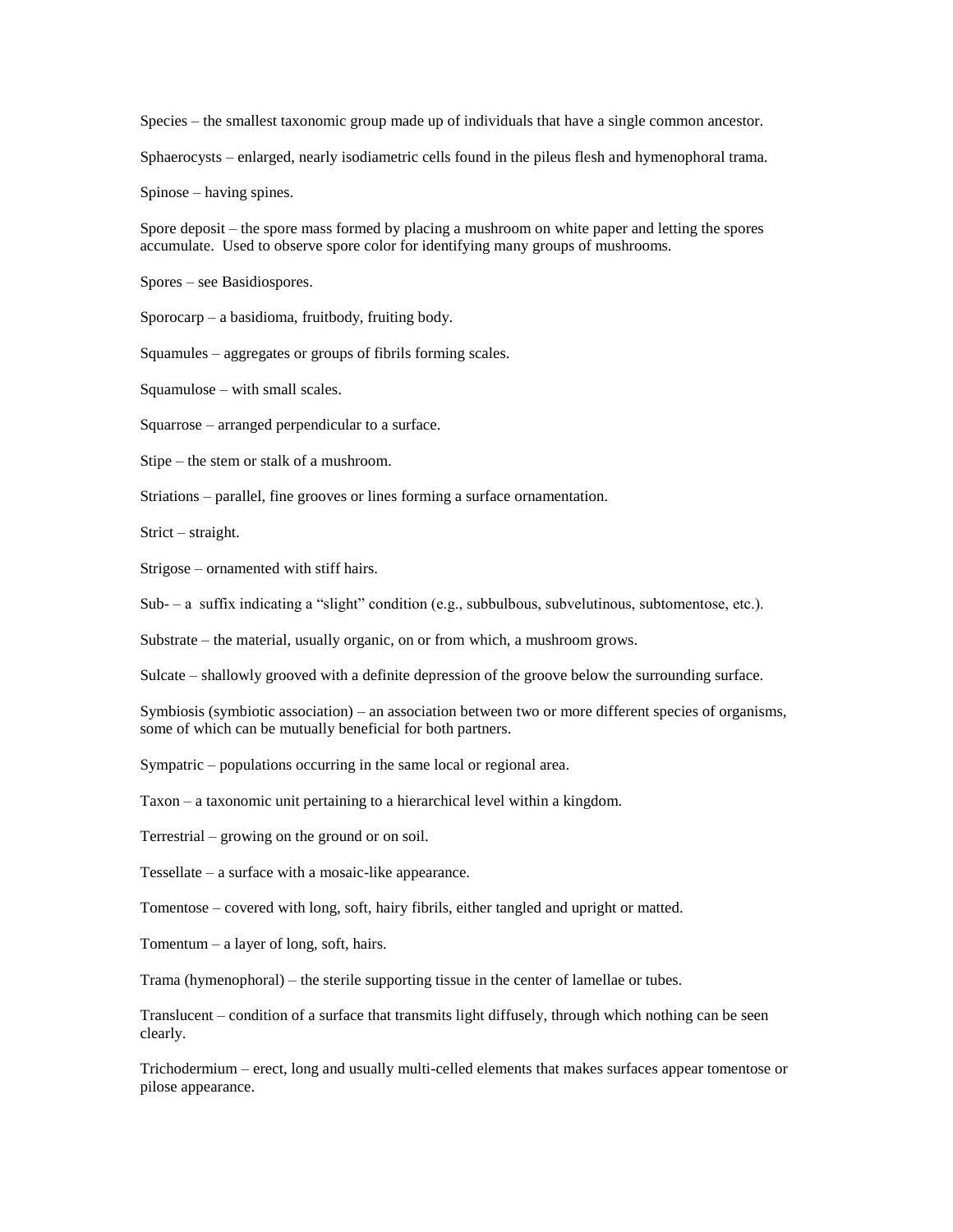Species – the smallest taxonomic group made up of individuals that have a single common ancestor.

Sphaerocysts – enlarged, nearly isodiametric cells found in the pileus flesh and hymenophoral trama.

Spinose – having spines.

Spore deposit – the spore mass formed by placing a mushroom on white paper and letting the spores accumulate. Used to observe spore color for identifying many groups of mushrooms.

Spores – see Basidiospores.

Sporocarp – a basidioma, fruitbody, fruiting body.

Squamules – aggregates or groups of fibrils forming scales.

Squamulose – with small scales.

Squarrose – arranged perpendicular to a surface.

Stipe – the stem or stalk of a mushroom.

Striations – parallel, fine grooves or lines forming a surface ornamentation.

Strict – straight.

Strigose – ornamented with stiff hairs.

Sub- – a suffix indicating a "slight" condition (e.g., subbulbous, subvelutinous, subtomentose, etc.).

Substrate – the material, usually organic, on or from which, a mushroom grows.

Sulcate – shallowly grooved with a definite depression of the groove below the surrounding surface.

Symbiosis (symbiotic association) – an association between two or more different species of organisms, some of which can be mutually beneficial for both partners.

Sympatric – populations occurring in the same local or regional area.

Taxon – a taxonomic unit pertaining to a hierarchical level within a kingdom.

Terrestrial – growing on the ground or on soil.

Tessellate – a surface with a mosaic-like appearance.

Tomentose – covered with long, soft, hairy fibrils, either tangled and upright or matted.

Tomentum – a layer of long, soft, hairs.

Trama (hymenophoral) – the sterile supporting tissue in the center of lamellae or tubes.

Translucent – condition of a surface that transmits light diffusely, through which nothing can be seen clearly.

Trichodermium – erect, long and usually multi-celled elements that makes surfaces appear tomentose or pilose appearance.